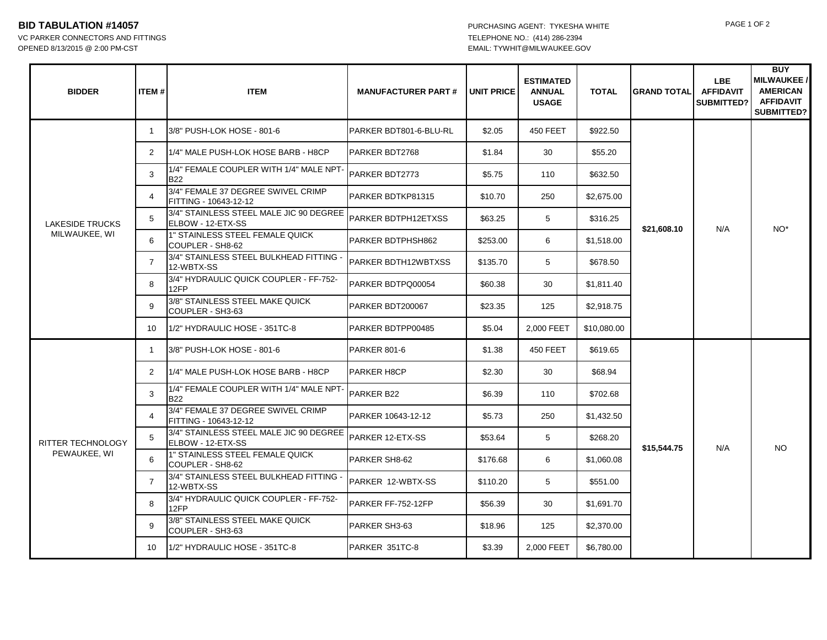## **BID TABULATION #14057** PAGE 1 OF 2 PURCHASING AGENT: TYKESHA WHITE PAGE 1 OF 2

OPENED 8/13/2015 @ 2:00 PM-CST EMAIL: TYWHIT@MILWAUKEE.GOV

| <b>BIDDER</b>                           | ITEM#          | <b>ITEM</b>                                                  | <b>MANUFACTURER PART#</b> | <b>UNIT PRICE</b> | <b>ESTIMATED</b><br><b>ANNUAL</b><br><b>USAGE</b> | <b>TOTAL</b> | <b>GRAND TOTAL</b> | LBE.<br><b>AFFIDAVIT</b><br>SUBMITTED? | <b>BUY</b><br><b>MILWAUKEE/</b><br><b>AMERICAN</b><br><b>AFFIDAVIT</b><br><b>SUBMITTED?</b> |
|-----------------------------------------|----------------|--------------------------------------------------------------|---------------------------|-------------------|---------------------------------------------------|--------------|--------------------|----------------------------------------|---------------------------------------------------------------------------------------------|
| <b>LAKESIDE TRUCKS</b><br>MILWAUKEE, WI | -1             | 3/8" PUSH-LOK HOSE - 801-6                                   | PARKER BDT801-6-BLU-RL    | \$2.05            | <b>450 FEET</b>                                   | \$922.50     | \$21,608.10        | N/A                                    | NO <sup>*</sup>                                                                             |
|                                         | 2              | 11/4" MALE PUSH-LOK HOSE BARB - H8CP                         | PARKER BDT2768            | \$1.84            | 30                                                | \$55.20      |                    |                                        |                                                                                             |
|                                         | 3              | 1/4" FEMALE COUPLER WITH 1/4" MALE NPT-<br><b>B22</b>        | <b>PARKER BDT2773</b>     | \$5.75            | 110                                               | \$632.50     |                    |                                        |                                                                                             |
|                                         | 4              | 3/4" FEMALE 37 DEGREE SWIVEL CRIMP<br>FITTING - 10643-12-12  | PARKER BDTKP81315         | \$10.70           | 250                                               | \$2,675.00   |                    |                                        |                                                                                             |
|                                         | 5              | 3/4" STAINLESS STEEL MALE JIC 90 DEGREE<br>ELBOW - 12-ETX-SS | PARKER BDTPH12ETXSS       | \$63.25           | 5                                                 | \$316.25     |                    |                                        |                                                                                             |
|                                         | 6              | 1" STAINLESS STEEL FEMALE QUICK<br>COUPLER - SH8-62          | PARKER BDTPHSH862         | \$253.00          | 6                                                 | \$1,518.00   |                    |                                        |                                                                                             |
|                                         | 7              | 3/4" STAINLESS STEEL BULKHEAD FITTING -<br>12-WBTX-SS        | PARKER BDTH12WBTXSS       | \$135.70          | 5                                                 | \$678.50     |                    |                                        |                                                                                             |
|                                         | 8              | 3/4" HYDRAULIC QUICK COUPLER - FF-752-<br>12FP               | PARKER BDTPQ00054         | \$60.38           | 30                                                | \$1,811.40   |                    |                                        |                                                                                             |
|                                         | 9              | 3/8" STAINLESS STEEL MAKE QUICK<br>COUPLER - SH3-63          | PARKER BDT200067          | \$23.35           | 125                                               | \$2,918.75   |                    |                                        |                                                                                             |
|                                         | 10             | 1/2" HYDRAULIC HOSE - 351TC-8                                | PARKER BDTPP00485         | \$5.04            | 2,000 FEET                                        | \$10,080.00  |                    |                                        |                                                                                             |
| RITTER TECHNOLOGY<br>PEWAUKEE, WI       | 1              | 3/8" PUSH-LOK HOSE - 801-6                                   | PARKER 801-6              | \$1.38            | 450 FEET                                          | \$619.65     | \$15,544.75        | N/A                                    | <b>NO</b>                                                                                   |
|                                         | $\mathbf{2}$   | 1/4" MALE PUSH-LOK HOSE BARB - H8CP                          | <b>PARKER H8CP</b>        | \$2.30            | 30                                                | \$68.94      |                    |                                        |                                                                                             |
|                                         | 3              | 1/4" FEMALE COUPLER WITH 1/4" MALE NPT-<br><b>B22</b>        | PARKER B22                | \$6.39            | 110                                               | \$702.68     |                    |                                        |                                                                                             |
|                                         | 4              | 3/4" FEMALE 37 DEGREE SWIVEL CRIMP<br>FITTING - 10643-12-12  | PARKER 10643-12-12        | \$5.73            | 250                                               | \$1,432.50   |                    |                                        |                                                                                             |
|                                         | 5              | 3/4" STAINLESS STEEL MALE JIC 90 DEGREE<br>ELBOW - 12-ETX-SS | PARKER 12-ETX-SS          | \$53.64           | 5                                                 | \$268.20     |                    |                                        |                                                                                             |
|                                         | 6              | 1" STAINLESS STEEL FEMALE QUICK<br>COUPLER - SH8-62          | PARKER SH8-62             | \$176.68          | 6                                                 | \$1,060.08   |                    |                                        |                                                                                             |
|                                         | $\overline{7}$ | 3/4" STAINLESS STEEL BULKHEAD FITTING -<br>12-WBTX-SS        | PARKER 12-WBTX-SS         | \$110.20          | 5                                                 | \$551.00     |                    |                                        |                                                                                             |
|                                         | 8              | 3/4" HYDRAULIC QUICK COUPLER - FF-752-<br>12FP               | PARKER FF-752-12FP        | \$56.39           | 30                                                | \$1,691.70   |                    |                                        |                                                                                             |
|                                         | 9              | 3/8" STAINLESS STEEL MAKE QUICK<br>COUPLER - SH3-63          | PARKER SH3-63             | \$18.96           | 125                                               | \$2,370.00   |                    |                                        |                                                                                             |
|                                         | 10             | 1/2" HYDRAULIC HOSE - 351TC-8                                | PARKER 351TC-8            | \$3.39            | 2,000 FEET                                        | \$6,780.00   |                    |                                        |                                                                                             |